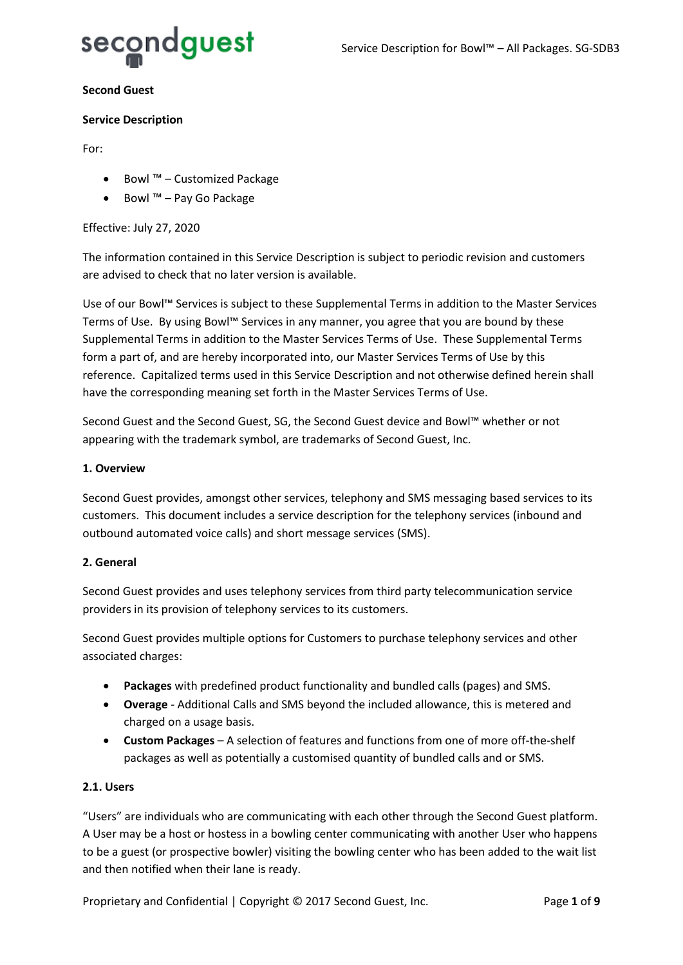

#### **Second Guest**

#### **Service Description**

For:

- Bowl ™ Customized Package
- Bowl ™ Pay Go Package

## Effective: July 27, 2020

The information contained in this Service Description is subject to periodic revision and customers are advised to check that no later version is available.

Use of our Bowl™ Services is subject to these Supplemental Terms in addition to the Master Services Terms of Use. By using Bowl™ Services in any manner, you agree that you are bound by these Supplemental Terms in addition to the Master Services Terms of Use. These Supplemental Terms form a part of, and are hereby incorporated into, our Master Services Terms of Use by this reference. Capitalized terms used in this Service Description and not otherwise defined herein shall have the corresponding meaning set forth in the Master Services Terms of Use.

Second Guest and the Second Guest, SG, the Second Guest device and Bowl™ whether or not appearing with the trademark symbol, are trademarks of Second Guest, Inc.

#### **1. Overview**

Second Guest provides, amongst other services, telephony and SMS messaging based services to its customers. This document includes a service description for the telephony services (inbound and outbound automated voice calls) and short message services (SMS).

## **2. General**

Second Guest provides and uses telephony services from third party telecommunication service providers in its provision of telephony services to its customers.

Second Guest provides multiple options for Customers to purchase telephony services and other associated charges:

- **Packages** with predefined product functionality and bundled calls (pages) and SMS.
- **Overage** Additional Calls and SMS beyond the included allowance, this is metered and charged on a usage basis.
- **Custom Packages** A selection of features and functions from one of more off-the-shelf packages as well as potentially a customised quantity of bundled calls and or SMS.

## **2.1. Users**

"Users" are individuals who are communicating with each other through the Second Guest platform. A User may be a host or hostess in a bowling center communicating with another User who happens to be a guest (or prospective bowler) visiting the bowling center who has been added to the wait list and then notified when their lane is ready.

Proprietary and Confidential | Copyright © 2017 Second Guest, Inc. Page 1 of 9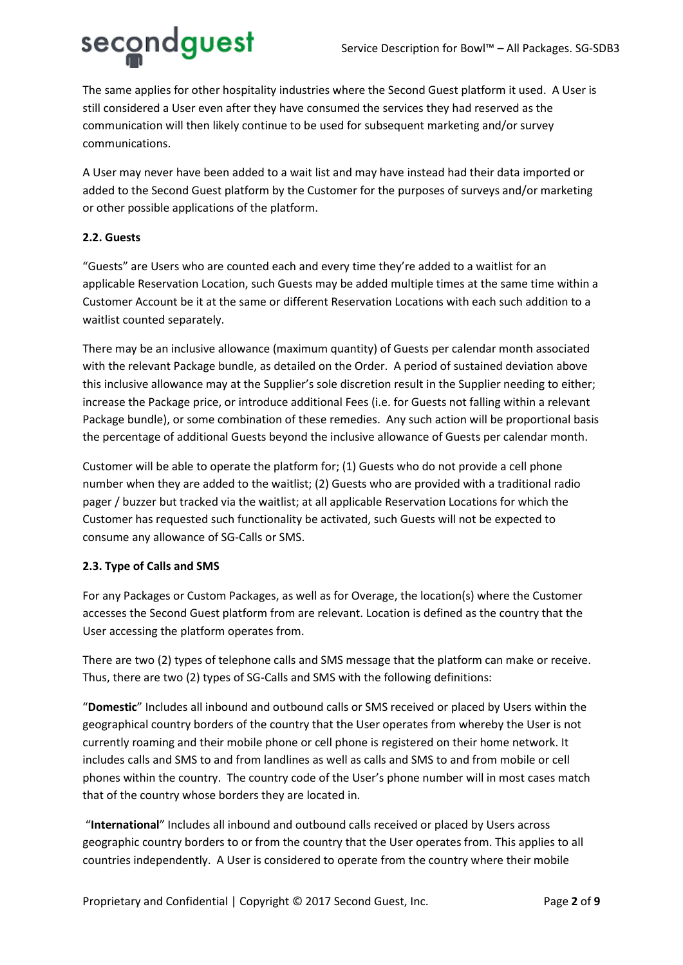

The same applies for other hospitality industries where the Second Guest platform it used. A User is still considered a User even after they have consumed the services they had reserved as the communication will then likely continue to be used for subsequent marketing and/or survey communications.

A User may never have been added to a wait list and may have instead had their data imported or added to the Second Guest platform by the Customer for the purposes of surveys and/or marketing or other possible applications of the platform.

## **2.2. Guests**

"Guests" are Users who are counted each and every time they're added to a waitlist for an applicable Reservation Location, such Guests may be added multiple times at the same time within a Customer Account be it at the same or different Reservation Locations with each such addition to a waitlist counted separately.

There may be an inclusive allowance (maximum quantity) of Guests per calendar month associated with the relevant Package bundle, as detailed on the Order. A period of sustained deviation above this inclusive allowance may at the Supplier's sole discretion result in the Supplier needing to either; increase the Package price, or introduce additional Fees (i.e. for Guests not falling within a relevant Package bundle), or some combination of these remedies. Any such action will be proportional basis the percentage of additional Guests beyond the inclusive allowance of Guests per calendar month.

Customer will be able to operate the platform for; (1) Guests who do not provide a cell phone number when they are added to the waitlist; (2) Guests who are provided with a traditional radio pager / buzzer but tracked via the waitlist; at all applicable Reservation Locations for which the Customer has requested such functionality be activated, such Guests will not be expected to consume any allowance of SG-Calls or SMS.

## **2.3. Type of Calls and SMS**

For any Packages or Custom Packages, as well as for Overage, the location(s) where the Customer accesses the Second Guest platform from are relevant. Location is defined as the country that the User accessing the platform operates from.

There are two (2) types of telephone calls and SMS message that the platform can make or receive. Thus, there are two (2) types of SG-Calls and SMS with the following definitions:

"**Domestic**" Includes all inbound and outbound calls or SMS received or placed by Users within the geographical country borders of the country that the User operates from whereby the User is not currently roaming and their mobile phone or cell phone is registered on their home network. It includes calls and SMS to and from landlines as well as calls and SMS to and from mobile or cell phones within the country. The country code of the User's phone number will in most cases match that of the country whose borders they are located in.

"**International**" Includes all inbound and outbound calls received or placed by Users across geographic country borders to or from the country that the User operates from. This applies to all countries independently. A User is considered to operate from the country where their mobile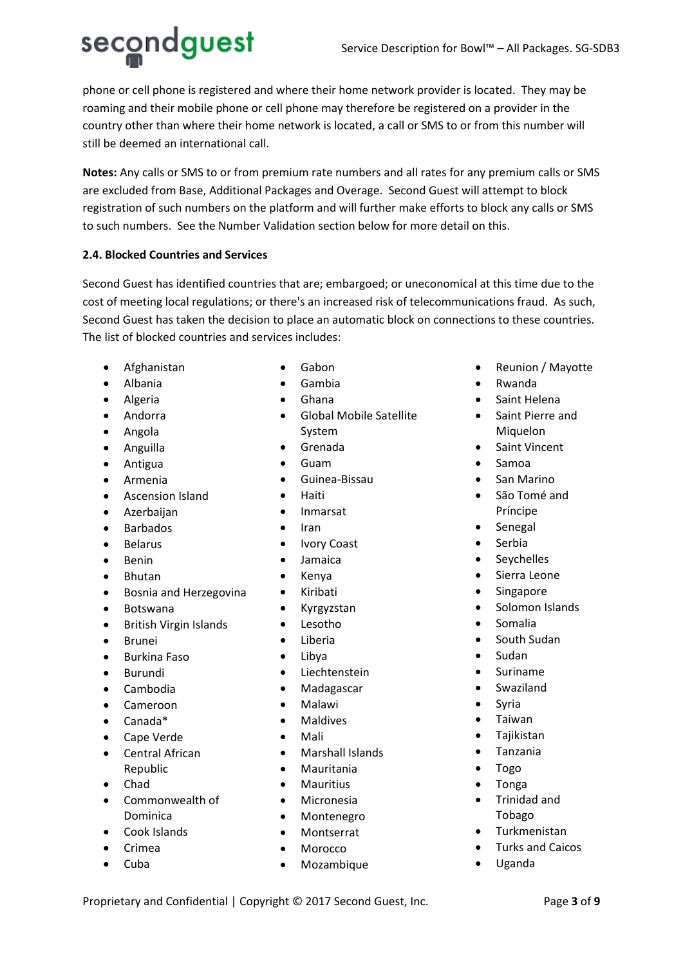secondguest

phone or cell phone is registered and where their home network provider is located. They may be roaming and their mobile phone or cell phone may therefore be registered on a provider in the country other than where their home network is located, a call or SMS to or from this number will still be deemed an international call.

**Notes:** Any calls or SMS to or from premium rate numbers and all rates for any premium calls or SMS are excluded from Base, Additional Packages and Overage. Second Guest will attempt to block registration of such numbers on the platform and will further make efforts to block any calls or SMS to such numbers. See the Number Validation section below for more detail on this.

# **2.4. Blocked Countries and Services**

Second Guest has identified countries that are; embargoed; or uneconomical at this time due to the cost of meeting local regulations; or there's an increased risk of telecommunications fraud. As such, Second Guest has taken the decision to place an automatic block on connections to these countries. The list of blocked countries and services includes:

- Afghanistan
- Albania
- Algeria
- Andorra
- Angola
- Anguilla
- Antigua
- Armenia
- Ascension Island
- Azerbaijan
- Barbados
- Belarus
- Benin
- Bhutan
- Bosnia and Herzegovina
- Botswana
- British Virgin Islands
- Brunei
- Burkina Faso
- Burundi
- Cambodia
- Cameroon
- Canada\*
- Cape Verde
- Central African Republic
- Chad
- Commonwealth of Dominica
- Cook Islands
- Crimea
- Cuba
- Gabon
- Gambia
- Ghana
- Global Mobile Satellite System
- Grenada
- Guam
- Guinea-Bissau
- Haiti
- Inmarsat
- Iran
- Ivory Coast
- Jamaica
- Kenya
- Kiribati
- Kyrgyzstan
- Lesotho
- Liberia
- Libya
- **Liechtenstein**
- Madagascar
- Malawi
- **Maldives**
- Mali
- Marshall Islands
- Mauritania
- **Mauritius**
- Micronesia
- Montenegro
- Montserrat
- **Morocco**
- Mozambique
- Reunion / Mayotte
- Rwanda
- Saint Helena
- Saint Pierre and Miquelon
- Saint Vincent
- Samoa
- San Marino
- São Tomé and Príncipe
- Senegal
- Serbia
- Seychelles
- Sierra Leone
- **Singapore**
- Solomon Islands
- Somalia
- South Sudan
- Sudan
- **Suriname**
- **Swaziland**
- Syria
- Taiwan
- Tajikistan
- Tanzania
- Togo
- Tonga
- Trinidad and Tobago
- **Turkmenistan**
- Turks and Caicos
- Uganda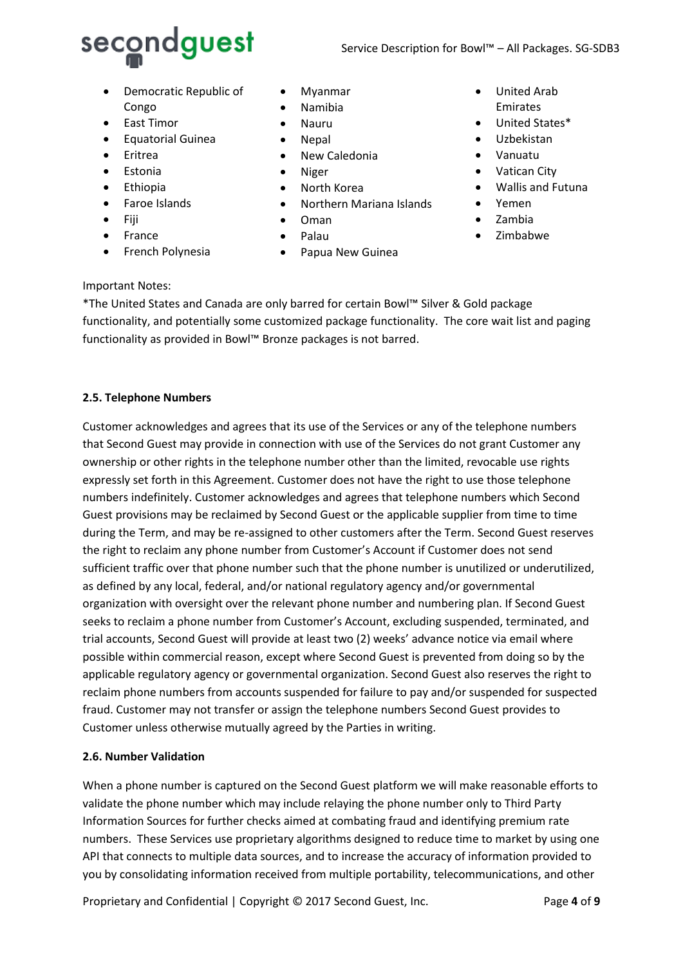

- Democratic Republic of Congo
- East Timor
- Equatorial Guinea
- Eritrea
- Estonia
- Ethiopia
- Faroe Islands
- Fiji
- France
- French Polynesia
- Myanmar
- Namibia
- Nauru
- Nepal
- New Caledonia
- Niger
- North Korea
- Northern Mariana Islands
- Oman
- Palau
- Papua New Guinea
- United Arab Emirates
- United States\*
- Uzbekistan
- Vanuatu
- Vatican City
- Wallis and Futuna
- Yemen
- Zambia
- Zimbabwe

## Important Notes:

\*The United States and Canada are only barred for certain Bowl™ Silver & Gold package functionality, and potentially some customized package functionality. The core wait list and paging functionality as provided in Bowl™ Bronze packages is not barred.

## **2.5. Telephone Numbers**

Customer acknowledges and agrees that its use of the Services or any of the telephone numbers that Second Guest may provide in connection with use of the Services do not grant Customer any ownership or other rights in the telephone number other than the limited, revocable use rights expressly set forth in this Agreement. Customer does not have the right to use those telephone numbers indefinitely. Customer acknowledges and agrees that telephone numbers which Second Guest provisions may be reclaimed by Second Guest or the applicable supplier from time to time during the Term, and may be re-assigned to other customers after the Term. Second Guest reserves the right to reclaim any phone number from Customer's Account if Customer does not send sufficient traffic over that phone number such that the phone number is unutilized or underutilized, as defined by any local, federal, and/or national regulatory agency and/or governmental organization with oversight over the relevant phone number and numbering plan. If Second Guest seeks to reclaim a phone number from Customer's Account, excluding suspended, terminated, and trial accounts, Second Guest will provide at least two (2) weeks' advance notice via email where possible within commercial reason, except where Second Guest is prevented from doing so by the applicable regulatory agency or governmental organization. Second Guest also reserves the right to reclaim phone numbers from accounts suspended for failure to pay and/or suspended for suspected fraud. Customer may not transfer or assign the telephone numbers Second Guest provides to Customer unless otherwise mutually agreed by the Parties in writing.

## **2.6. Number Validation**

When a phone number is captured on the Second Guest platform we will make reasonable efforts to validate the phone number which may include relaying the phone number only to Third Party Information Sources for further checks aimed at combating fraud and identifying premium rate numbers. These Services use proprietary algorithms designed to reduce time to market by using one API that connects to multiple data sources, and to increase the accuracy of information provided to you by consolidating information received from multiple portability, telecommunications, and other

Proprietary and Confidential | Copyright © 2017 Second Guest, Inc. Page 4 of 9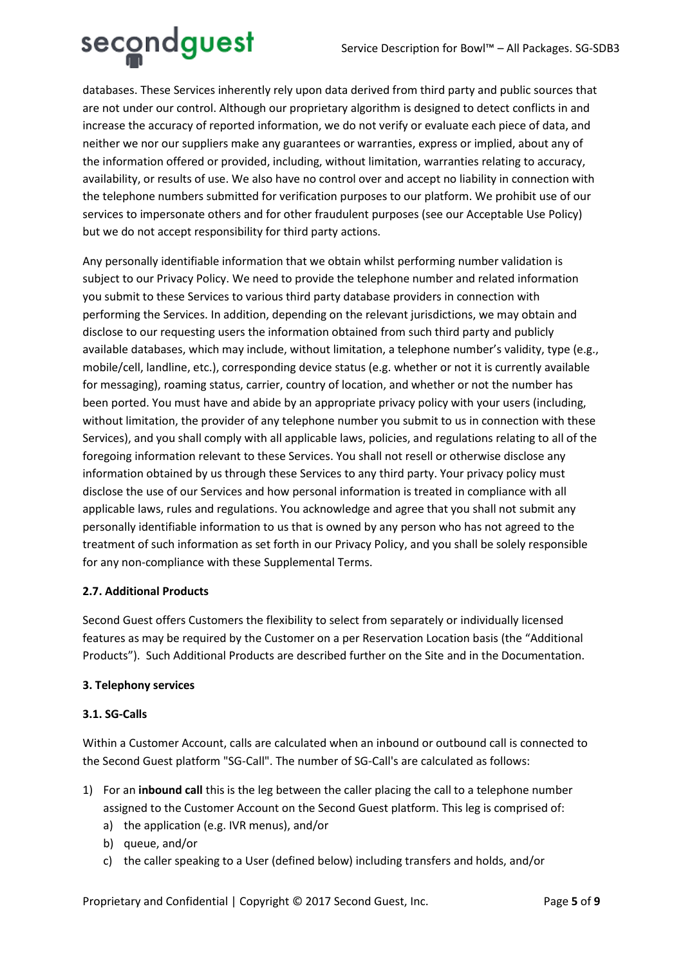

databases. These Services inherently rely upon data derived from third party and public sources that are not under our control. Although our proprietary algorithm is designed to detect conflicts in and increase the accuracy of reported information, we do not verify or evaluate each piece of data, and neither we nor our suppliers make any guarantees or warranties, express or implied, about any of the information offered or provided, including, without limitation, warranties relating to accuracy, availability, or results of use. We also have no control over and accept no liability in connection with the telephone numbers submitted for verification purposes to our platform. We prohibit use of our services to impersonate others and for other fraudulent purposes (see our Acceptable Use Policy) but we do not accept responsibility for third party actions.

Any personally identifiable information that we obtain whilst performing number validation is subject to our Privacy Policy. We need to provide the telephone number and related information you submit to these Services to various third party database providers in connection with performing the Services. In addition, depending on the relevant jurisdictions, we may obtain and disclose to our requesting users the information obtained from such third party and publicly available databases, which may include, without limitation, a telephone number's validity, type (e.g., mobile/cell, landline, etc.), corresponding device status (e.g. whether or not it is currently available for messaging), roaming status, carrier, country of location, and whether or not the number has been ported. You must have and abide by an appropriate privacy policy with your users (including, without limitation, the provider of any telephone number you submit to us in connection with these Services), and you shall comply with all applicable laws, policies, and regulations relating to all of the foregoing information relevant to these Services. You shall not resell or otherwise disclose any information obtained by us through these Services to any third party. Your privacy policy must disclose the use of our Services and how personal information is treated in compliance with all applicable laws, rules and regulations. You acknowledge and agree that you shall not submit any personally identifiable information to us that is owned by any person who has not agreed to the treatment of such information as set forth in our Privacy Policy, and you shall be solely responsible for any non-compliance with these Supplemental Terms.

# **2.7. Additional Products**

Second Guest offers Customers the flexibility to select from separately or individually licensed features as may be required by the Customer on a per Reservation Location basis (the "Additional Products"). Such Additional Products are described further on the Site and in the Documentation.

## **3. Telephony services**

## **3.1. SG-Calls**

Within a Customer Account, calls are calculated when an inbound or outbound call is connected to the Second Guest platform "SG-Call". The number of SG-Call's are calculated as follows:

- 1) For an **inbound call** this is the leg between the caller placing the call to a telephone number assigned to the Customer Account on the Second Guest platform. This leg is comprised of:
	- a) the application (e.g. IVR menus), and/or
	- b) queue, and/or
	- c) the caller speaking to a User (defined below) including transfers and holds, and/or

Proprietary and Confidential | Copyright © 2017 Second Guest, Inc. Page 5 of 9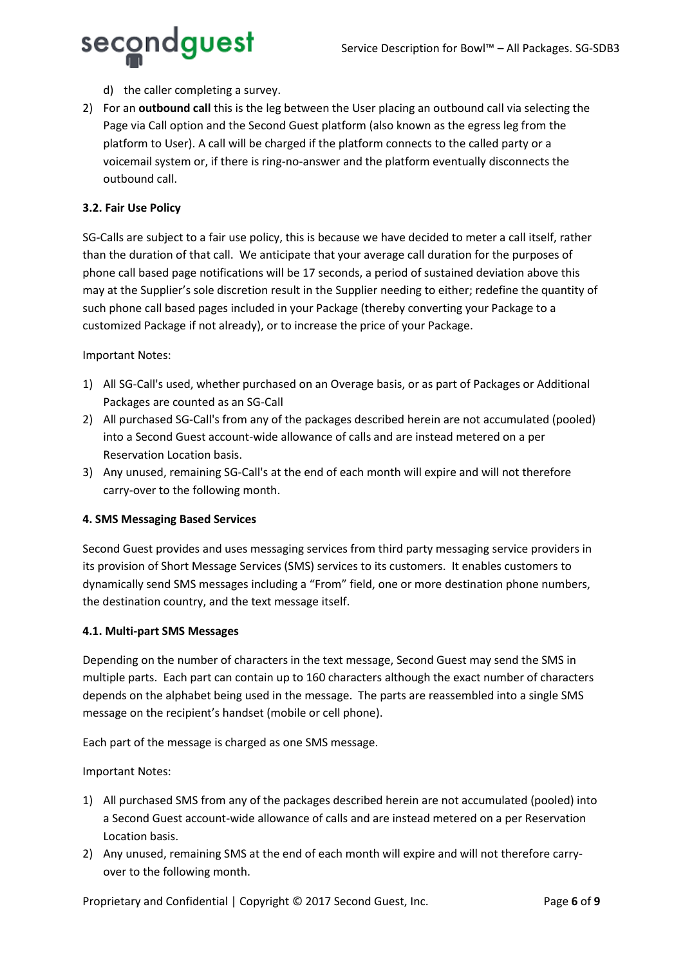

- d) the caller completing a survey.
- 2) For an **outbound call** this is the leg between the User placing an outbound call via selecting the Page via Call option and the Second Guest platform (also known as the egress leg from the platform to User). A call will be charged if the platform connects to the called party or a voicemail system or, if there is ring-no-answer and the platform eventually disconnects the outbound call.

# **3.2. Fair Use Policy**

SG-Calls are subject to a fair use policy, this is because we have decided to meter a call itself, rather than the duration of that call. We anticipate that your average call duration for the purposes of phone call based page notifications will be 17 seconds, a period of sustained deviation above this may at the Supplier's sole discretion result in the Supplier needing to either; redefine the quantity of such phone call based pages included in your Package (thereby converting your Package to a customized Package if not already), or to increase the price of your Package.

## Important Notes:

- 1) All SG-Call's used, whether purchased on an Overage basis, or as part of Packages or Additional Packages are counted as an SG-Call
- 2) All purchased SG-Call's from any of the packages described herein are not accumulated (pooled) into a Second Guest account-wide allowance of calls and are instead metered on a per Reservation Location basis.
- 3) Any unused, remaining SG-Call's at the end of each month will expire and will not therefore carry-over to the following month.

## **4. SMS Messaging Based Services**

Second Guest provides and uses messaging services from third party messaging service providers in its provision of Short Message Services (SMS) services to its customers. It enables customers to dynamically send SMS messages including a "From" field, one or more destination phone numbers, the destination country, and the text message itself.

## **4.1. Multi-part SMS Messages**

Depending on the number of characters in the text message, Second Guest may send the SMS in multiple parts. Each part can contain up to 160 characters although the exact number of characters depends on the alphabet being used in the message. The parts are reassembled into a single SMS message on the recipient's handset (mobile or cell phone).

Each part of the message is charged as one SMS message.

Important Notes:

- 1) All purchased SMS from any of the packages described herein are not accumulated (pooled) into a Second Guest account-wide allowance of calls and are instead metered on a per Reservation Location basis.
- 2) Any unused, remaining SMS at the end of each month will expire and will not therefore carryover to the following month.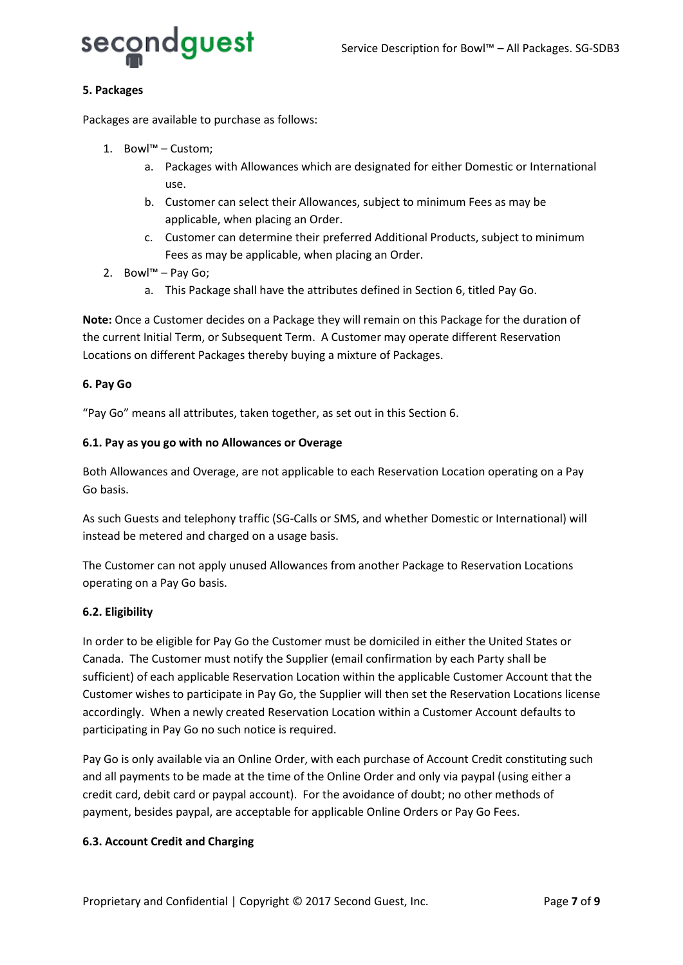

## **5. Packages**

Packages are available to purchase as follows:

- 1. Bowl™ Custom;
	- a. Packages with Allowances which are designated for either Domestic or International use.
	- b. Customer can select their Allowances, subject to minimum Fees as may be applicable, when placing an Order.
	- c. Customer can determine their preferred Additional Products, subject to minimum Fees as may be applicable, when placing an Order.
- 2. Bowl™ Pay Go;
	- a. This Package shall have the attributes defined in Section 6, titled Pay Go.

**Note:** Once a Customer decides on a Package they will remain on this Package for the duration of the current Initial Term, or Subsequent Term. A Customer may operate different Reservation Locations on different Packages thereby buying a mixture of Packages.

## **6. Pay Go**

"Pay Go" means all attributes, taken together, as set out in this Section 6.

## **6.1. Pay as you go with no Allowances or Overage**

Both Allowances and Overage, are not applicable to each Reservation Location operating on a Pay Go basis.

As such Guests and telephony traffic (SG-Calls or SMS, and whether Domestic or International) will instead be metered and charged on a usage basis.

The Customer can not apply unused Allowances from another Package to Reservation Locations operating on a Pay Go basis.

## **6.2. Eligibility**

In order to be eligible for Pay Go the Customer must be domiciled in either the United States or Canada. The Customer must notify the Supplier (email confirmation by each Party shall be sufficient) of each applicable Reservation Location within the applicable Customer Account that the Customer wishes to participate in Pay Go, the Supplier will then set the Reservation Locations license accordingly. When a newly created Reservation Location within a Customer Account defaults to participating in Pay Go no such notice is required.

Pay Go is only available via an Online Order, with each purchase of Account Credit constituting such and all payments to be made at the time of the Online Order and only via paypal (using either a credit card, debit card or paypal account). For the avoidance of doubt; no other methods of payment, besides paypal, are acceptable for applicable Online Orders or Pay Go Fees.

## **6.3. Account Credit and Charging**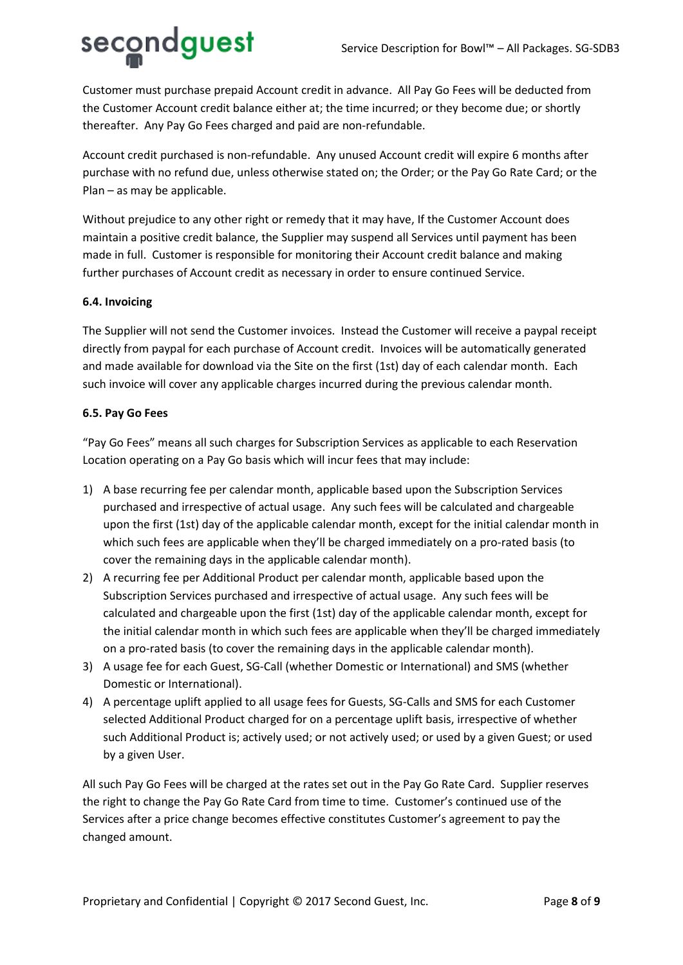# secondguest

Customer must purchase prepaid Account credit in advance. All Pay Go Fees will be deducted from the Customer Account credit balance either at; the time incurred; or they become due; or shortly thereafter. Any Pay Go Fees charged and paid are non-refundable.

Account credit purchased is non-refundable. Any unused Account credit will expire 6 months after purchase with no refund due, unless otherwise stated on; the Order; or the Pay Go Rate Card; or the Plan – as may be applicable.

Without prejudice to any other right or remedy that it may have, If the Customer Account does maintain a positive credit balance, the Supplier may suspend all Services until payment has been made in full. Customer is responsible for monitoring their Account credit balance and making further purchases of Account credit as necessary in order to ensure continued Service.

# **6.4. Invoicing**

The Supplier will not send the Customer invoices. Instead the Customer will receive a paypal receipt directly from paypal for each purchase of Account credit. Invoices will be automatically generated and made available for download via the Site on the first (1st) day of each calendar month. Each such invoice will cover any applicable charges incurred during the previous calendar month.

## **6.5. Pay Go Fees**

"Pay Go Fees" means all such charges for Subscription Services as applicable to each Reservation Location operating on a Pay Go basis which will incur fees that may include:

- 1) A base recurring fee per calendar month, applicable based upon the Subscription Services purchased and irrespective of actual usage. Any such fees will be calculated and chargeable upon the first (1st) day of the applicable calendar month, except for the initial calendar month in which such fees are applicable when they'll be charged immediately on a pro-rated basis (to cover the remaining days in the applicable calendar month).
- 2) A recurring fee per Additional Product per calendar month, applicable based upon the Subscription Services purchased and irrespective of actual usage. Any such fees will be calculated and chargeable upon the first (1st) day of the applicable calendar month, except for the initial calendar month in which such fees are applicable when they'll be charged immediately on a pro-rated basis (to cover the remaining days in the applicable calendar month).
- 3) A usage fee for each Guest, SG-Call (whether Domestic or International) and SMS (whether Domestic or International).
- 4) A percentage uplift applied to all usage fees for Guests, SG-Calls and SMS for each Customer selected Additional Product charged for on a percentage uplift basis, irrespective of whether such Additional Product is; actively used; or not actively used; or used by a given Guest; or used by a given User.

All such Pay Go Fees will be charged at the rates set out in the Pay Go Rate Card. Supplier reserves the right to change the Pay Go Rate Card from time to time. Customer's continued use of the Services after a price change becomes effective constitutes Customer's agreement to pay the changed amount.